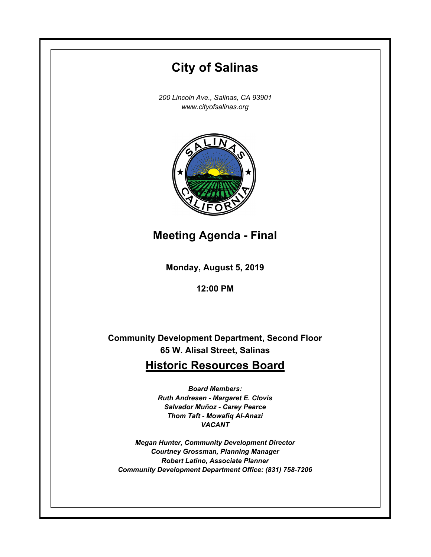# **Monday, August 5, 2019 12:00 PM City of Salinas** *200 Lincoln Ave., Salinas, CA 93901 www.cityofsalinas.org* **Community Development Department, Second Floor 65 W. Alisal Street, Salinas Historic Resources Board** *Board Members: Ruth Andresen - Margaret E. Clovis Salvador Muñoz - Carey Pearce Thom Taft - Mowafiq Al-Anazi VACANT Megan Hunter, Community Development Director Courtney Grossman, Planning Manager Robert Latino, Associate Planner Community Development Department Office: (831) 758-7206* **Meeting Agenda - Final**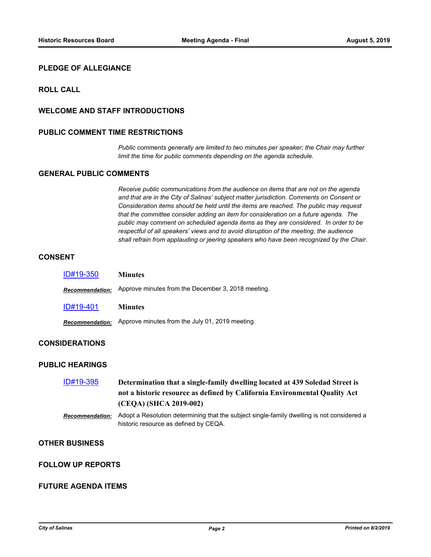## **PLEDGE OF ALLEGIANCE**

## **ROLL CALL**

## **WELCOME AND STAFF INTRODUCTIONS**

#### **PUBLIC COMMENT TIME RESTRICTIONS**

*Public comments generally are limited to two minutes per speaker; the Chair may further limit the time for public comments depending on the agenda schedule.*

## **GENERAL PUBLIC COMMENTS**

*Receive public communications from the audience on items that are not on the agenda and that are in the City of Salinas' subject matter jurisdiction. Comments on Consent or Consideration items should be held until the items are reached. The public may request that the committee consider adding an item for consideration on a future agenda. The public may comment on scheduled agenda items as they are considered. In order to be respectful of all speakers' views and to avoid disruption of the meeting, the audience shall refrain from applauding or jeering speakers who have been recognized by the Chair.*

#### **CONSENT**

| ID#19-350              | <b>Minutes</b>                                     |
|------------------------|----------------------------------------------------|
| <b>Recommendation:</b> | Approve minutes from the December 3, 2018 meeting. |
| ID#19-401              | <b>Minutes</b>                                     |
| <b>Recommendation:</b> | Approve minutes from the July 01, 2019 meeting.    |

# **CONSIDERATIONS**

#### **PUBLIC HEARINGS**

| ID#19-395 | Determination that a single-family dwelling located at 439 Soledad Street is |
|-----------|------------------------------------------------------------------------------|
|           | not a historic resource as defined by California Environmental Quality Act   |
|           | (CEQA) (SHCA 2019-002)                                                       |
|           |                                                                              |

#### *Recommendation:* Adopt a Resolution determining that the subject single-family dwelling is not considered a historic resource as defined by CEQA.

## **OTHER BUSINESS**

## **FOLLOW UP REPORTS**

#### **FUTURE AGENDA ITEMS**